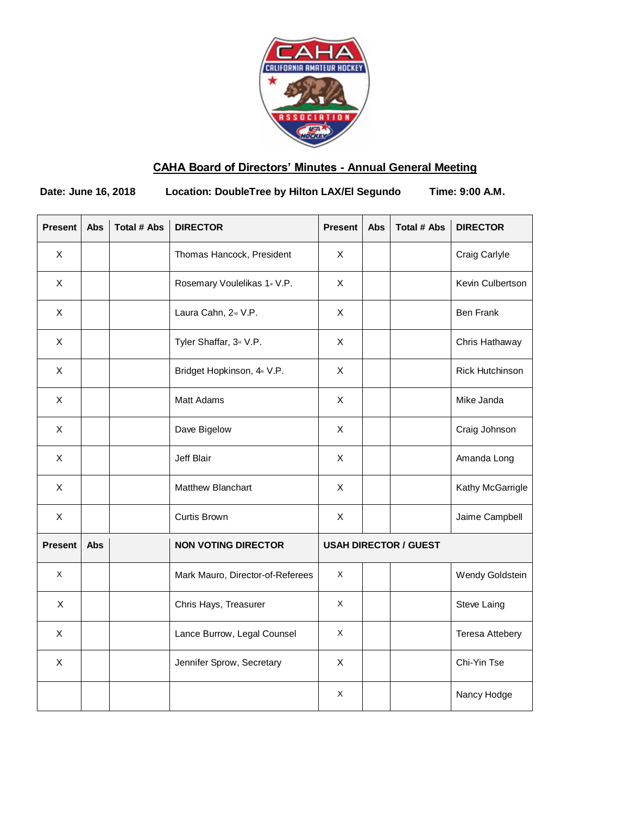

# **CAHA Board of Directors' Minutes - Annual General Meeting**

**Date: June 16, 2018 Location: DoubleTree by Hilton LAX/El Segundo Time: 9:00 A.M.**

| <b>Present</b> | <b>Abs</b> | <b>Total # Abs</b> | <b>DIRECTOR</b>                         | <b>Present</b> | <b>Abs</b> | <b>Total # Abs</b>           | <b>DIRECTOR</b>        |
|----------------|------------|--------------------|-----------------------------------------|----------------|------------|------------------------------|------------------------|
| X              |            |                    | Thomas Hancock, President               | X              |            |                              | Craig Carlyle          |
| X              |            |                    | Rosemary Voulelikas 1 Jul V.P.          | X              |            |                              | Kevin Culbertson       |
| $\pmb{\times}$ |            |                    | Laura Cahn, 2 <sup>nd</sup> V.P.        | X              |            |                              | <b>Ben Frank</b>       |
| X              |            |                    | Tyler Shaffar, 3 <sup>rd</sup> V.P.     | X              |            |                              | Chris Hathaway         |
| $\pmb{\times}$ |            |                    | Bridget Hopkinson, 4 <sup>th</sup> V.P. | X              |            |                              | Rick Hutchinson        |
| $\mathsf{X}$   |            |                    | Matt Adams                              | X              |            |                              | Mike Janda             |
| X              |            |                    | Dave Bigelow                            | X              |            |                              | Craig Johnson          |
| $\mathsf{X}$   |            |                    | Jeff Blair                              | X              |            |                              | Amanda Long            |
| X              |            |                    | Matthew Blanchart                       | X              |            |                              | Kathy McGarrigle       |
| X              |            |                    | Curtis Brown                            | X              |            |                              | Jaime Campbell         |
| <b>Present</b> | Abs        |                    | <b>NON VOTING DIRECTOR</b>              |                |            | <b>USAH DIRECTOR / GUEST</b> |                        |
| X              |            |                    | Mark Mauro, Director-of-Referees        | X              |            |                              | Wendy Goldstein        |
| $\pmb{\times}$ |            |                    | Chris Hays, Treasurer                   | X              |            |                              | Steve Laing            |
| X              |            |                    | Lance Burrow, Legal Counsel             | X              |            |                              | <b>Teresa Attebery</b> |
| X              |            |                    | Jennifer Sprow, Secretary               | X              |            |                              | Chi-Yin Tse            |
|                |            |                    |                                         | Χ              |            |                              | Nancy Hodge            |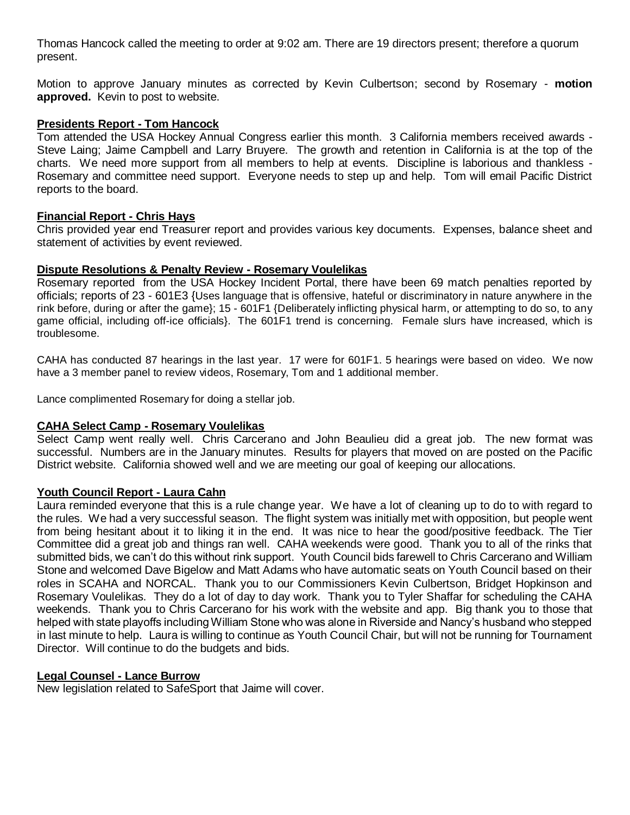Thomas Hancock called the meeting to order at 9:02 am. There are 19 directors present; therefore a quorum present.

Motion to approve January minutes as corrected by Kevin Culbertson; second by Rosemary - **motion approved.** Kevin to post to website.

#### **Presidents Report - Tom Hancock**

Tom attended the USA Hockey Annual Congress earlier this month. 3 California members received awards - Steve Laing; Jaime Campbell and Larry Bruyere. The growth and retention in California is at the top of the charts. We need more support from all members to help at events. Discipline is laborious and thankless - Rosemary and committee need support. Everyone needs to step up and help. Tom will email Pacific District reports to the board.

# **Financial Report - Chris Hays**

Chris provided year end Treasurer report and provides various key documents. Expenses, balance sheet and statement of activities by event reviewed.

### **Dispute Resolutions & Penalty Review - Rosemary Voulelikas**

Rosemary reported from the USA Hockey Incident Portal, there have been 69 match penalties reported by officials; reports of 23 - 601E3 {Uses language that is offensive, hateful or discriminatory in nature anywhere in the rink before, during or after the game}; 15 - 601F1 {Deliberately inflicting physical harm, or attempting to do so, to any game official, including off-ice officials}. The 601F1 trend is concerning. Female slurs have increased, which is troublesome.

CAHA has conducted 87 hearings in the last year. 17 were for 601F1. 5 hearings were based on video. We now have a 3 member panel to review videos, Rosemary, Tom and 1 additional member.

Lance complimented Rosemary for doing a stellar job.

#### **CAHA Select Camp - Rosemary Voulelikas**

Select Camp went really well. Chris Carcerano and John Beaulieu did a great job. The new format was successful. Numbers are in the January minutes. Results for players that moved on are posted on the Pacific District website. California showed well and we are meeting our goal of keeping our allocations.

# **Youth Council Report - Laura Cahn**

Laura reminded everyone that this is a rule change year. We have a lot of cleaning up to do to with regard to the rules. We had a very successful season. The flight system was initially met with opposition, but people went from being hesitant about it to liking it in the end. It was nice to hear the good/positive feedback. The Tier Committee did a great job and things ran well. CAHA weekends were good. Thank you to all of the rinks that submitted bids, we can't do this without rink support. Youth Council bids farewell to Chris Carcerano and William Stone and welcomed Dave Bigelow and Matt Adams who have automatic seats on Youth Council based on their roles in SCAHA and NORCAL. Thank you to our Commissioners Kevin Culbertson, Bridget Hopkinson and Rosemary Voulelikas. They do a lot of day to day work. Thank you to Tyler Shaffar for scheduling the CAHA weekends. Thank you to Chris Carcerano for his work with the website and app. Big thank you to those that helped with state playoffs including William Stone who was alone in Riverside and Nancy's husband who stepped in last minute to help. Laura is willing to continue as Youth Council Chair, but will not be running for Tournament Director. Will continue to do the budgets and bids.

# **Legal Counsel - Lance Burrow**

New legislation related to SafeSport that Jaime will cover.